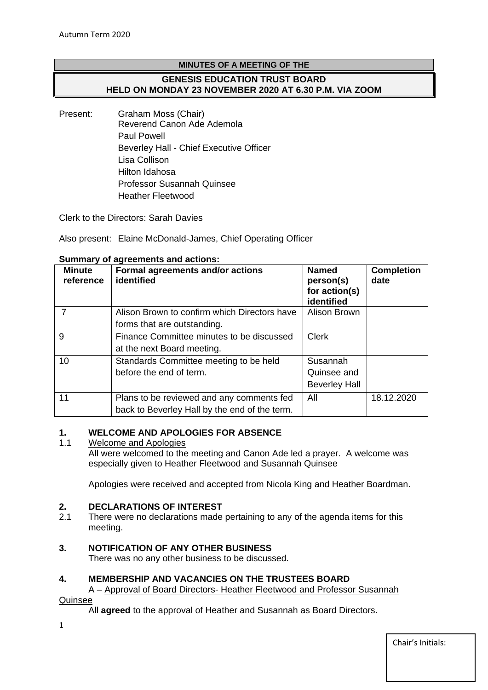# **MINUTES OF A MEETING OF THE GENESIS EDUCATION TRUST BOARD HELD ON MONDAY 23 NOVEMBER 2020 AT 6.30 P.M. VIA ZOOM**

Present: Graham Moss (Chair) Reverend Canon Ade Ademola Paul Powell Beverley Hall - Chief Executive Officer Lisa Collison Hilton Idahosa Professor Susannah Quinsee Heather Fleetwood

Clerk to the Directors: Sarah Davies

Also present: Elaine McDonald-James, Chief Operating Officer

| <b>Minute</b><br>reference | Formal agreements and/or actions<br>identified                                             | <b>Named</b><br>person(s)<br>for action(s)<br>identified | <b>Completion</b><br>date |
|----------------------------|--------------------------------------------------------------------------------------------|----------------------------------------------------------|---------------------------|
|                            | Alison Brown to confirm which Directors have<br>forms that are outstanding.                | Alison Brown                                             |                           |
| 9                          | Finance Committee minutes to be discussed<br>at the next Board meeting.                    | <b>Clerk</b>                                             |                           |
| 10                         | Standards Committee meeting to be held<br>before the end of term.                          | Susannah<br>Quinsee and<br><b>Beverley Hall</b>          |                           |
| 11                         | Plans to be reviewed and any comments fed<br>back to Beverley Hall by the end of the term. | All                                                      | 18.12.2020                |

## **Summary of agreements and actions:**

# **1. WELCOME AND APOLOGIES FOR ABSENCE**

## 1.1 Welcome and Apologies

All were welcomed to the meeting and Canon Ade led a prayer. A welcome was especially given to Heather Fleetwood and Susannah Quinsee

Apologies were received and accepted from Nicola King and Heather Boardman.

## **2. DECLARATIONS OF INTEREST**

2.1 There were no declarations made pertaining to any of the agenda items for this meeting.

# **3. NOTIFICATION OF ANY OTHER BUSINESS**

There was no any other business to be discussed.

## **4. MEMBERSHIP AND VACANCIES ON THE TRUSTEES BOARD**

A – Approval of Board Directors- Heather Fleetwood and Professor Susannah

Quinsee

All **agreed** to the approval of Heather and Susannah as Board Directors.

1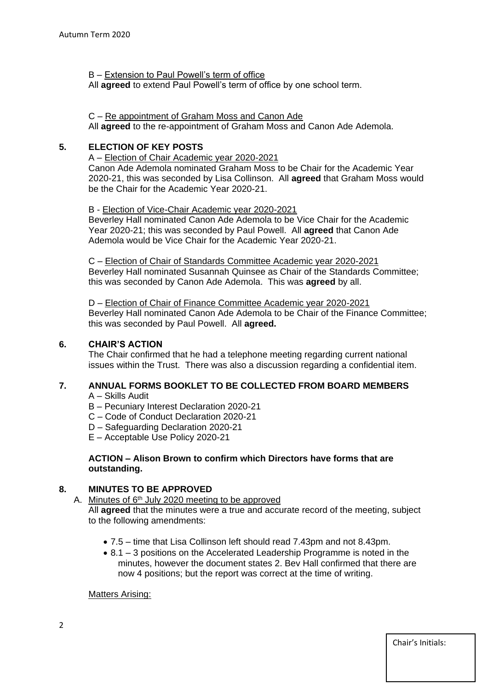B – Extension to Paul Powell's term of office

All **agreed** to extend Paul Powell's term of office by one school term.

#### C – Re appointment of Graham Moss and Canon Ade

All **agreed** to the re-appointment of Graham Moss and Canon Ade Ademola.

## **5. ELECTION OF KEY POSTS**

A – Election of Chair Academic year 2020-2021 Canon Ade Ademola nominated Graham Moss to be Chair for the Academic Year 2020-21, this was seconded by Lisa Collinson. All **agreed** that Graham Moss would be the Chair for the Academic Year 2020-21.

#### B - Election of Vice-Chair Academic year 2020-2021

Beverley Hall nominated Canon Ade Ademola to be Vice Chair for the Academic Year 2020-21; this was seconded by Paul Powell. All **agreed** that Canon Ade Ademola would be Vice Chair for the Academic Year 2020-21.

C – Election of Chair of Standards Committee Academic year 2020-2021 Beverley Hall nominated Susannah Quinsee as Chair of the Standards Committee; this was seconded by Canon Ade Ademola. This was **agreed** by all.

D – Election of Chair of Finance Committee Academic year 2020-2021 Beverley Hall nominated Canon Ade Ademola to be Chair of the Finance Committee; this was seconded by Paul Powell. All **agreed.**

#### **6. CHAIR'S ACTION**

The Chair confirmed that he had a telephone meeting regarding current national issues within the Trust. There was also a discussion regarding a confidential item.

## **7. ANNUAL FORMS BOOKLET TO BE COLLECTED FROM BOARD MEMBERS**

- A Skills Audit
- B Pecuniary Interest Declaration 2020-21
- C Code of Conduct Declaration 2020-21
- D Safeguarding Declaration 2020-21
- E Acceptable Use Policy 2020-21

#### **ACTION – Alison Brown to confirm which Directors have forms that are outstanding.**

## **8. MINUTES TO BE APPROVED**

A. Minutes of 6<sup>th</sup> July 2020 meeting to be approved

All **agreed** that the minutes were a true and accurate record of the meeting, subject to the following amendments:

- 7.5 time that Lisa Collinson left should read 7.43pm and not 8.43pm.
- 8.1 3 positions on the Accelerated Leadership Programme is noted in the minutes, however the document states 2. Bev Hall confirmed that there are now 4 positions; but the report was correct at the time of writing.

#### Matters Arising: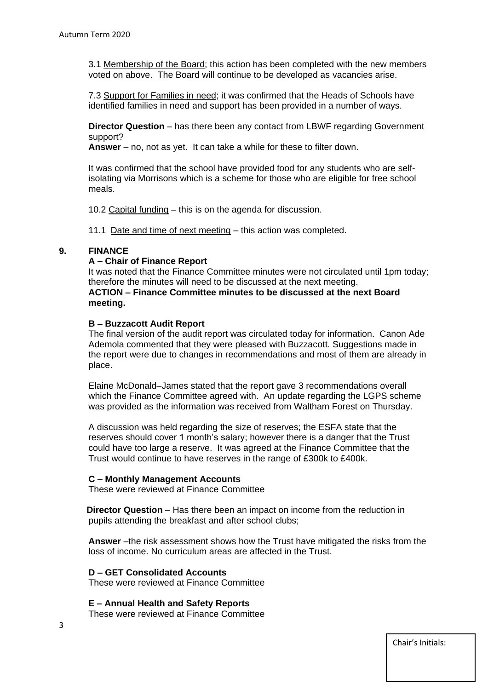3.1 Membership of the Board; this action has been completed with the new members voted on above. The Board will continue to be developed as vacancies arise.

7.3 Support for Families in need; it was confirmed that the Heads of Schools have identified families in need and support has been provided in a number of ways.

**Director Question** – has there been any contact from LBWF regarding Government support?

**Answer** – no, not as yet. It can take a while for these to filter down.

It was confirmed that the school have provided food for any students who are selfisolating via Morrisons which is a scheme for those who are eligible for free school meals.

10.2 Capital funding – this is on the agenda for discussion.

11.1 Date and time of next meeting – this action was completed.

#### **9. FINANCE**

#### **A – Chair of Finance Report**

It was noted that the Finance Committee minutes were not circulated until 1pm today; therefore the minutes will need to be discussed at the next meeting. **ACTION – Finance Committee minutes to be discussed at the next Board meeting.**

#### **B – Buzzacott Audit Report**

The final version of the audit report was circulated today for information. Canon Ade Ademola commented that they were pleased with Buzzacott. Suggestions made in the report were due to changes in recommendations and most of them are already in place.

Elaine McDonald–James stated that the report gave 3 recommendations overall which the Finance Committee agreed with. An update regarding the LGPS scheme was provided as the information was received from Waltham Forest on Thursday.

A discussion was held regarding the size of reserves; the ESFA state that the reserves should cover 1 month's salary; however there is a danger that the Trust could have too large a reserve. It was agreed at the Finance Committee that the Trust would continue to have reserves in the range of £300k to £400k.

#### **C – Monthly Management Accounts**

These were reviewed at Finance Committee

 **Director Question** – Has there been an impact on income from the reduction in pupils attending the breakfast and after school clubs;

**Answer** –the risk assessment shows how the Trust have mitigated the risks from the loss of income. No curriculum areas are affected in the Trust.

## **D – GET Consolidated Accounts**

These were reviewed at Finance Committee

**E – Annual Health and Safety Reports**

These were reviewed at Finance Committee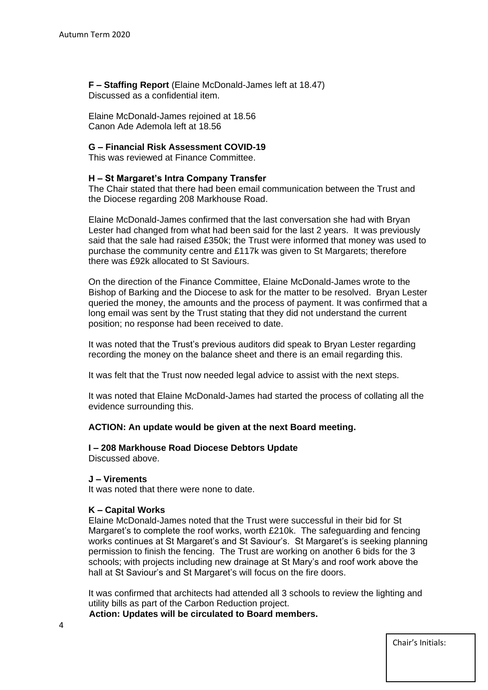**F – Staffing Report** (Elaine McDonald-James left at 18.47) Discussed as a confidential item.

Elaine McDonald-James rejoined at 18.56 Canon Ade Ademola left at 18.56

#### **G – Financial Risk Assessment COVID-19**

This was reviewed at Finance Committee.

## **H – St Margaret's Intra Company Transfer**

The Chair stated that there had been email communication between the Trust and the Diocese regarding 208 Markhouse Road.

Elaine McDonald-James confirmed that the last conversation she had with Bryan Lester had changed from what had been said for the last 2 years. It was previously said that the sale had raised £350k; the Trust were informed that money was used to purchase the community centre and £117k was given to St Margarets; therefore there was £92k allocated to St Saviours.

On the direction of the Finance Committee, Elaine McDonald-James wrote to the Bishop of Barking and the Diocese to ask for the matter to be resolved. Bryan Lester queried the money, the amounts and the process of payment. It was confirmed that a long email was sent by the Trust stating that they did not understand the current position; no response had been received to date.

It was noted that the Trust's previous auditors did speak to Bryan Lester regarding recording the money on the balance sheet and there is an email regarding this.

It was felt that the Trust now needed legal advice to assist with the next steps.

It was noted that Elaine McDonald-James had started the process of collating all the evidence surrounding this.

#### **ACTION: An update would be given at the next Board meeting.**

# **I – 208 Markhouse Road Diocese Debtors Update**

Discussed above.

## **J – Virements**

It was noted that there were none to date.

#### **K – Capital Works**

Elaine McDonald-James noted that the Trust were successful in their bid for St Margaret's to complete the roof works, worth £210k. The safeguarding and fencing works continues at St Margaret's and St Saviour's. St Margaret's is seeking planning permission to finish the fencing. The Trust are working on another 6 bids for the 3 schools; with projects including new drainage at St Mary's and roof work above the hall at St Saviour's and St Margaret's will focus on the fire doors.

It was confirmed that architects had attended all 3 schools to review the lighting and utility bills as part of the Carbon Reduction project.

**Action: Updates will be circulated to Board members.**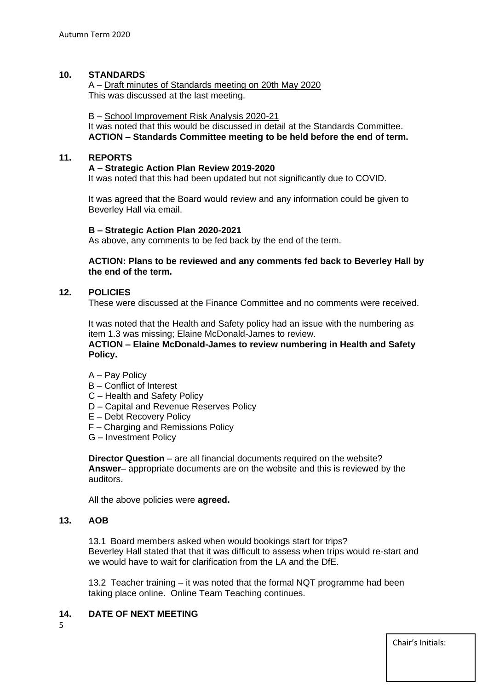## **10. STANDARDS**

A – Draft minutes of Standards meeting on 20th May 2020 This was discussed at the last meeting.

#### B – School Improvement Risk Analysis 2020-21

It was noted that this would be discussed in detail at the Standards Committee. **ACTION – Standards Committee meeting to be held before the end of term.**

## **11. REPORTS**

#### **A – Strategic Action Plan Review 2019-2020**

It was noted that this had been updated but not significantly due to COVID.

It was agreed that the Board would review and any information could be given to Beverley Hall via email.

#### **B – Strategic Action Plan 2020-2021**

As above, any comments to be fed back by the end of the term.

**ACTION: Plans to be reviewed and any comments fed back to Beverley Hall by the end of the term.**

## **12. POLICIES**

These were discussed at the Finance Committee and no comments were received.

It was noted that the Health and Safety policy had an issue with the numbering as item 1.3 was missing; Elaine McDonald-James to review.

**ACTION – Elaine McDonald-James to review numbering in Health and Safety Policy.**

- A Pay Policy
- B Conflict of Interest
- C Health and Safety Policy
- D Capital and Revenue Reserves Policy
- E Debt Recovery Policy
- F Charging and Remissions Policy
- G Investment Policy

**Director Question** – are all financial documents required on the website? **Answer**– appropriate documents are on the website and this is reviewed by the auditors.

All the above policies were **agreed.**

## **13. AOB**

13.1 Board members asked when would bookings start for trips? Beverley Hall stated that that it was difficult to assess when trips would re-start and we would have to wait for clarification from the LA and the DfE.

13.2 Teacher training – it was noted that the formal NQT programme had been taking place online. Online Team Teaching continues.

# **14. DATE OF NEXT MEETING**

5

Chair's Initials: